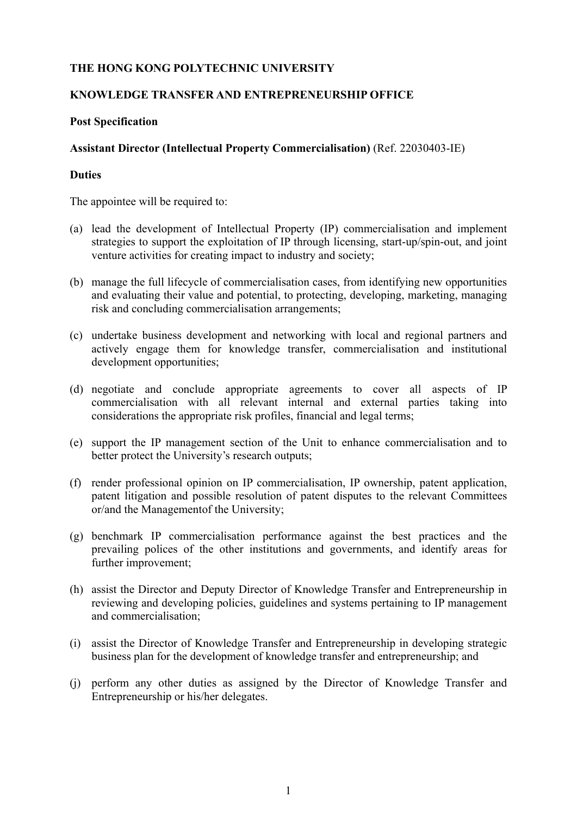# **THE HONG KONG POLYTECHNIC UNIVERSITY**

#### **KNOWLEDGE TRANSFER AND ENTREPRENEURSHIP OFFICE**

#### **Post Specification**

## **Assistant Director (Intellectual Property Commercialisation)** (Ref. 22030403-IE)

#### **Duties**

The appointee will be required to:

- (a) lead the development of Intellectual Property (IP) commercialisation and implement strategies to support the exploitation of IP through licensing, start-up/spin-out, and joint venture activities for creating impact to industry and society;
- (b) manage the full lifecycle of commercialisation cases, from identifying new opportunities and evaluating their value and potential, to protecting, developing, marketing, managing risk and concluding commercialisation arrangements;
- (c) undertake business development and networking with local and regional partners and actively engage them for knowledge transfer, commercialisation and institutional development opportunities;
- (d) negotiate and conclude appropriate agreements to cover all aspects of IP commercialisation with all relevant internal and external parties taking into considerations the appropriate risk profiles, financial and legal terms;
- (e) support the IP management section of the Unit to enhance commercialisation and to better protect the University's research outputs;
- (f) render professional opinion on IP commercialisation, IP ownership, patent application, patent litigation and possible resolution of patent disputes to the relevant Committees or/and the Management of the University;
- (g) benchmark IP commercialisation performance against the best practices and the prevailing polices of the other institutions and governments, and identify areas for further improvement;
- (h) assist the Director and Deputy Director of Knowledge Transfer and Entrepreneurship in reviewing and developing policies, guidelines and systems pertaining to IP management and commercialisation;
- (i) assist the Director of Knowledge Transfer and Entrepreneurship in developing strategic business plan for the development of knowledge transfer and entrepreneurship; and
- (j) perform any other duties as assigned by the Director of Knowledge Transfer and Entrepreneurship or his/her delegates.